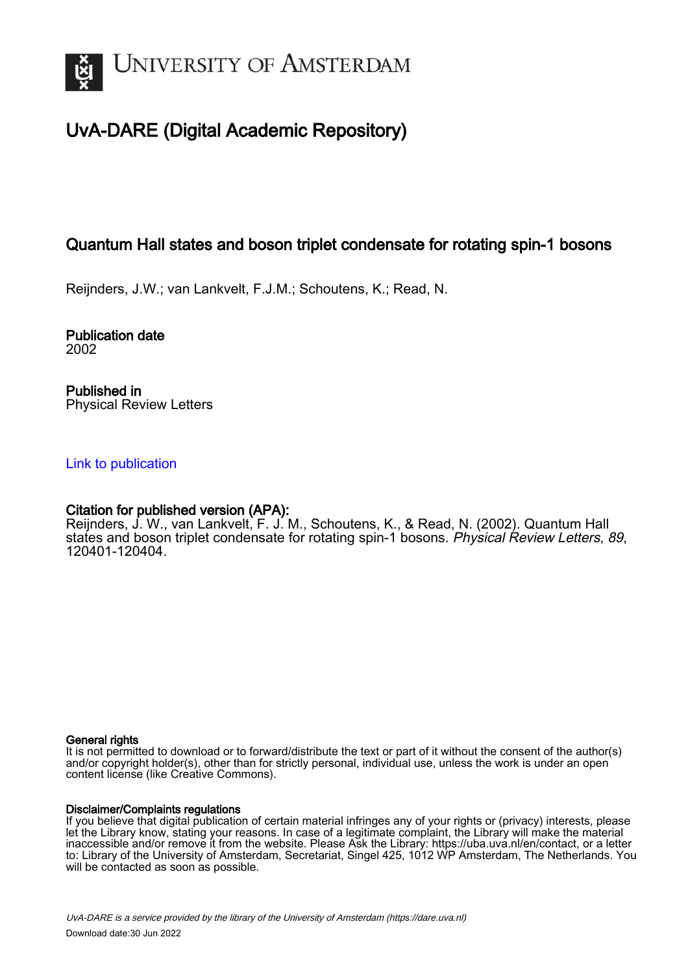

# UvA-DARE (Digital Academic Repository)

## Quantum Hall states and boson triplet condensate for rotating spin-1 bosons

Reijnders, J.W.; van Lankvelt, F.J.M.; Schoutens, K.; Read, N.

Publication date 2002

Published in Physical Review Letters

## [Link to publication](https://dare.uva.nl/personal/pure/en/publications/quantum-hall-states-and-boson-triplet-condensate-for-rotating-spin1-bosons(f51ace72-cb35-40c4-b2a6-0782d9eab87b).html)

## Citation for published version (APA):

Reijnders, J. W., van Lankvelt, F. J. M., Schoutens, K., & Read, N. (2002). Quantum Hall states and boson triplet condensate for rotating spin-1 bosons. Physical Review Letters, 89, 120401-120404.

#### General rights

It is not permitted to download or to forward/distribute the text or part of it without the consent of the author(s) and/or copyright holder(s), other than for strictly personal, individual use, unless the work is under an open content license (like Creative Commons).

#### Disclaimer/Complaints regulations

If you believe that digital publication of certain material infringes any of your rights or (privacy) interests, please let the Library know, stating your reasons. In case of a legitimate complaint, the Library will make the material inaccessible and/or remove it from the website. Please Ask the Library: https://uba.uva.nl/en/contact, or a letter to: Library of the University of Amsterdam, Secretariat, Singel 425, 1012 WP Amsterdam, The Netherlands. You will be contacted as soon as possible.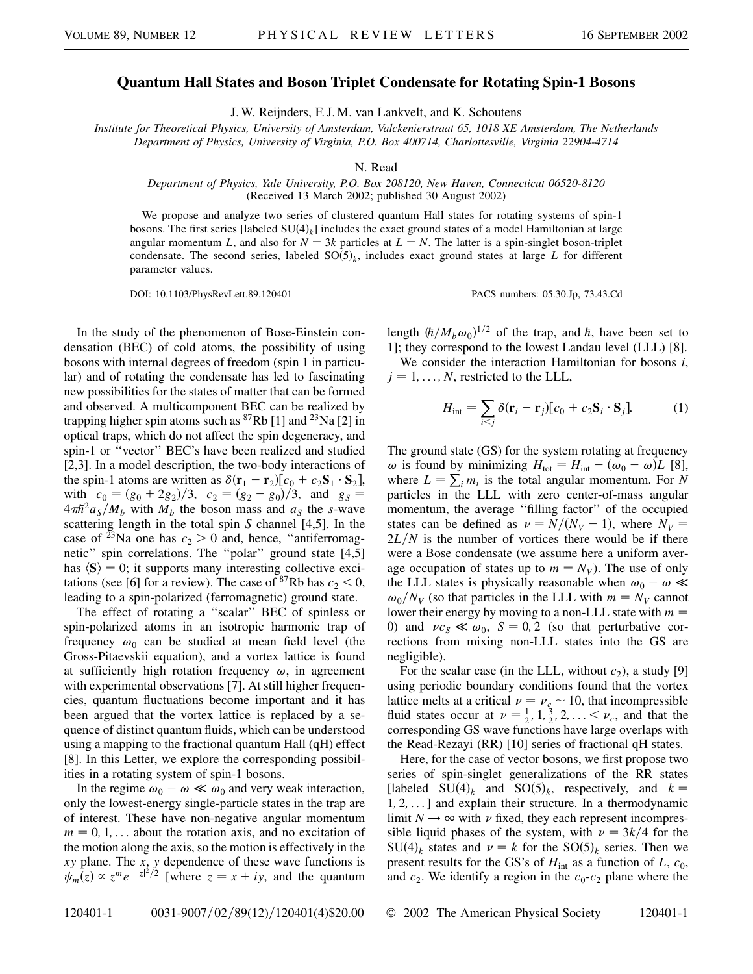### **Quantum Hall States and Boson Triplet Condensate for Rotating Spin-1 Bosons**

J. W. Reijnders, F. J. M. van Lankvelt, and K. Schoutens

*Institute for Theoretical Physics, University of Amsterdam, Valckenierstraat 65, 1018 XE Amsterdam, The Netherlands Department of Physics, University of Virginia, P.O. Box 400714, Charlottesville, Virginia 22904-4714*

N. Read

*Department of Physics, Yale University, P.O. Box 208120, New Haven, Connecticut 06520-8120* (Received 13 March 2002; published 30 August 2002)

We propose and analyze two series of clustered quantum Hall states for rotating systems of spin-1 bosons. The first series [labeled SU(4)<sub>k</sub>] includes the exact ground states of a model Hamiltonian at large angular momentum *L*, and also for  $N = 3k$  particles at  $L = N$ . The latter is a spin-singlet boson-triplet condensate. The second series, labeled  $SO(5)_k$ , includes exact ground states at large *L* for different parameter values.

DOI: 10.1103/PhysRevLett.89.120401 PACS numbers: 05.30.Jp, 73.43.Cd

In the study of the phenomenon of Bose-Einstein condensation (BEC) of cold atoms, the possibility of using bosons with internal degrees of freedom (spin 1 in particular) and of rotating the condensate has led to fascinating new possibilities for the states of matter that can be formed and observed. A multicomponent BEC can be realized by trapping higher spin atoms such as  ${}^{87}Rb$  [1] and  ${}^{23}Na$  [2] in optical traps, which do not affect the spin degeneracy, and spin-1 or ''vector'' BEC's have been realized and studied [2,3]. In a model description, the two-body interactions of the spin-1 atoms are written as  $\delta(\mathbf{r}_1 - \mathbf{r}_2)[c_0 + c_2 \mathbf{S}_1 \cdot \mathbf{S}_2]$ , with  $c_0 = (g_0 + 2g_2)/3$ ,  $c_2 = (g_2 - g_0)/3$ , and  $g_S =$  $4\pi\hbar^2 a_S/M_b$  with  $M_b$  the boson mass and  $a_S$  the *s*-wave scattering length in the total spin *S* channel [4,5]. In the case of <sup>23</sup>Na one has  $c_2 > 0$  and, hence, "antiferromagnetic'' spin correlations. The ''polar'' ground state [4,5] has  $\langle S \rangle = 0$ ; it supports many interesting collective excitations (see [6] for a review). The case of <sup>87</sup>Rb has  $c_2 < 0$ , leading to a spin-polarized (ferromagnetic) ground state.

The effect of rotating a ''scalar'' BEC of spinless or spin-polarized atoms in an isotropic harmonic trap of frequency  $\omega_0$  can be studied at mean field level (the Gross-Pitaevskii equation), and a vortex lattice is found at sufficiently high rotation frequency  $\omega$ , in agreement with experimental observations [7]. At still higher frequencies, quantum fluctuations become important and it has been argued that the vortex lattice is replaced by a sequence of distinct quantum fluids, which can be understood using a mapping to the fractional quantum Hall (qH) effect [8]. In this Letter, we explore the corresponding possibilities in a rotating system of spin-1 bosons.

In the regime  $\omega_0 - \omega \ll \omega_0$  and very weak interaction, only the lowest-energy single-particle states in the trap are of interest. These have non-negative angular momentum  $m = 0, 1, \ldots$  about the rotation axis, and no excitation of the motion along the axis, so the motion is effectively in the *xy* plane. The *x*, *y* dependence of these wave functions is  $\psi_m(z) \propto z^m e^{-|z|^2/2}$  [where  $z = x + iy$ , and the quantum

length  $(\hbar/M_b\omega_0)^{1/2}$  of the trap, and  $\hbar$ , have been set to 1]; they correspond to the lowest Landau level (LLL) [8].

We consider the interaction Hamiltonian for bosons *i*,  $j = 1, \ldots, N$ , restricted to the LLL,

$$
H_{\text{int}} = \sum_{i < j} \delta(\mathbf{r}_i - \mathbf{r}_j) [c_0 + c_2 \mathbf{S}_i \cdot \mathbf{S}_j]. \tag{1}
$$

The ground state (GS) for the system rotating at frequency  $\omega$  is found by minimizing  $H_{\text{tot}} = H_{\text{int}} + (\omega_0 - \omega)L$  [8], where  $L = \sum_i m_i$  is the total angular momentum. For *N* particles in the LLL with zero center-of-mass angular momentum, the average ''filling factor'' of the occupied states can be defined as  $\nu = N/(N_V + 1)$ , where  $N_V =$  $2L/N$  is the number of vortices there would be if there were a Bose condensate (we assume here a uniform average occupation of states up to  $m = N_V$ ). The use of only the LLL states is physically reasonable when  $\omega_0 - \omega \ll 1$  $\omega_0/N_V$  (so that particles in the LLL with  $m = N_V$  cannot lower their energy by moving to a non-LLL state with *m* 0) and  $\nu c_s \ll \omega_0$ ,  $S = 0, 2$  (so that perturbative corrections from mixing non-LLL states into the GS are negligible).

For the scalar case (in the LLL, without  $c_2$ ), a study [9] using periodic boundary conditions found that the vortex lattice melts at a critical  $\nu = \nu_c \sim 10$ , that incompressible fluid states occur at  $\nu = \frac{1}{2}, 1, \frac{3}{2}, 2, ... < \nu_c$ , and that the corresponding GS wave functions have large overlaps with the Read-Rezayi (RR) [10] series of fractional qH states.

Here, for the case of vector bosons, we first propose two series of spin-singlet generalizations of the RR states [labeled SU(4)<sub>k</sub> and SO(5)<sub>k</sub>, respectively, and  $k =$ 1*;* 2*;* ... ] and explain their structure. In a thermodynamic limit  $N \rightarrow \infty$  with  $\nu$  fixed, they each represent incompressible liquid phases of the system, with  $\nu = 3k/4$  for the  $SU(4)_k$  states and  $\nu = k$  for the  $SO(5)_k$  series. Then we present results for the GS's of  $H_{int}$  as a function of  $L$ ,  $c_0$ , and  $c_2$ . We identify a region in the  $c_0$ - $c_2$  plane where the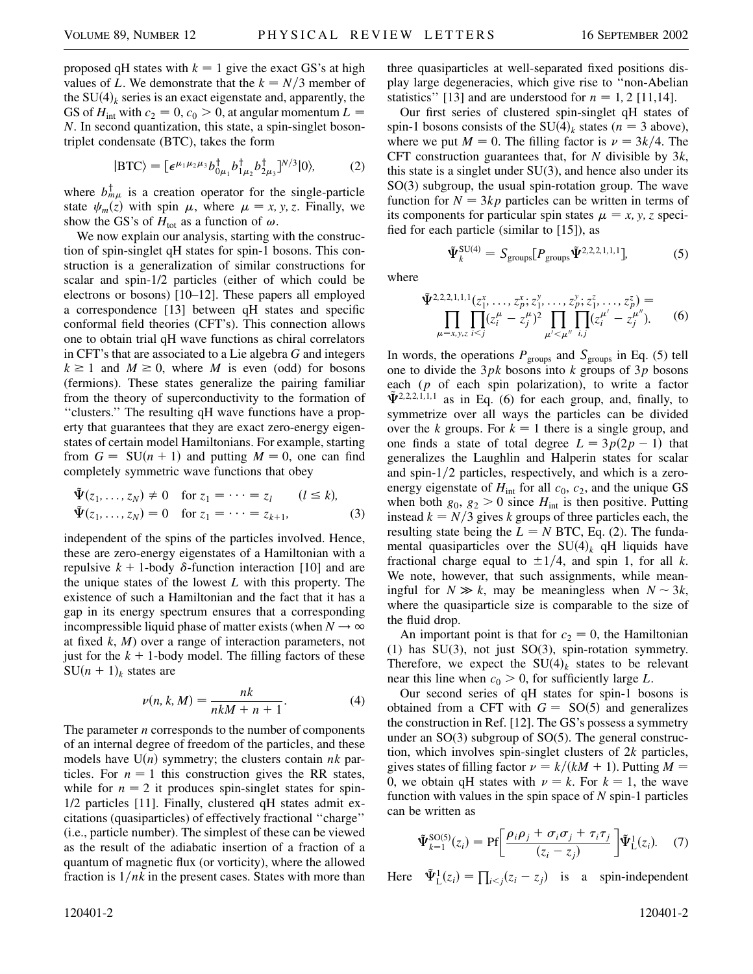proposed qH states with  $k = 1$  give the exact GS's at high values of *L*. We demonstrate that the  $k = N/3$  member of the  $SU(4)_k$  series is an exact eigenstate and, apparently, the GS of  $H_{int}$  with  $c_2 = 0$ ,  $c_0 > 0$ , at angular momentum  $L =$ *N*. In second quantization, this state, a spin-singlet bosontriplet condensate (BTC), takes the form

$$
|\text{BTC}\rangle = \left[\epsilon^{\mu_1 \mu_2 \mu_3} b_{0\mu_1}^{\dagger} b_{1\mu_2}^{\dagger} b_{2\mu_3}^{\dagger}\right]^{N/3} |0\rangle,\tag{2}
$$

where  $b_{m\mu}^{\dagger}$  is a creation operator for the single-particle state  $\psi_m(z)$  with spin  $\mu$ , where  $\mu = x, y, z$ . Finally, we show the GS's of  $H_{\text{tot}}$  as a function of  $\omega$ .

We now explain our analysis, starting with the construction of spin-singlet qH states for spin-1 bosons. This construction is a generalization of similar constructions for scalar and spin-1/2 particles (either of which could be electrons or bosons) [10–12]. These papers all employed a correspondence [13] between qH states and specific conformal field theories (CFT's). This connection allows one to obtain trial qH wave functions as chiral correlators in CFT's that are associated to a Lie algebra *G* and integers  $k \ge 1$  and  $M \ge 0$ , where *M* is even (odd) for bosons (fermions). These states generalize the pairing familiar from the theory of superconductivity to the formation of ''clusters.'' The resulting qH wave functions have a property that guarantees that they are exact zero-energy eigenstates of certain model Hamiltonians. For example, starting from  $G = SU(n + 1)$  and putting  $M = 0$ , one can find completely symmetric wave functions that obey

$$
\tilde{\Psi}(z_1, ..., z_N) \neq 0
$$
 for  $z_1 = \cdots = z_l$   $(l \le k)$ ,  
\n $\tilde{\Psi}(z_1, ..., z_N) = 0$  for  $z_1 = \cdots = z_{k+1}$ , (3)

independent of the spins of the particles involved. Hence, these are zero-energy eigenstates of a Hamiltonian with a repulsive  $k + 1$ -body  $\delta$ -function interaction [10] and are the unique states of the lowest *L* with this property. The existence of such a Hamiltonian and the fact that it has a gap in its energy spectrum ensures that a corresponding incompressible liquid phase of matter exists (when  $N \to \infty$ at fixed *k*, *M*) over a range of interaction parameters, not just for the  $k + 1$ -body model. The filling factors of these  $SU(n + 1)<sub>k</sub>$  states are

$$
\nu(n,k,M) = \frac{nk}{nkM + n + 1}.\tag{4}
$$

The parameter *n* corresponds to the number of components of an internal degree of freedom of the particles, and these models have  $U(n)$  symmetry; the clusters contain  $nk$  particles. For  $n = 1$  this construction gives the RR states, while for  $n = 2$  it produces spin-singlet states for spin-1/2 particles [11]. Finally, clustered qH states admit excitations (quasiparticles) of effectively fractional ''charge'' (i.e., particle number). The simplest of these can be viewed as the result of the adiabatic insertion of a fraction of a quantum of magnetic flux (or vorticity), where the allowed fraction is  $1/nk$  in the present cases. States with more than three quasiparticles at well-separated fixed positions display large degeneracies, which give rise to ''non-Abelian statistics" [13] and are understood for  $n = 1, 2$  [11,14].

Our first series of clustered spin-singlet qH states of spin-1 bosons consists of the SU(4)<sub>k</sub> states ( $n = 3$  above), where we put  $M = 0$ . The filling factor is  $\nu = 3k/4$ . The CFT construction guarantees that, for *N* divisible by 3*k*, this state is a singlet under SU(3), and hence also under its SO(3) subgroup, the usual spin-rotation group. The wave function for  $N = 3kp$  particles can be written in terms of its components for particular spin states  $\mu = x, y, z$  specified for each particle (similar to [15]), as

 $\tilde{\Psi}_{k}^{\text{SU}(4)} = S_{\text{groups}}[P_{\text{groups}}\tilde{\Psi}^{2,2,2,1,1,1}].$  (5)

where

$$
\tilde{\Psi}^{2,2,2,1,1,1}(z_1^x,\ldots,z_p^x;z_1^y,\ldots,z_p^y;z_1^z,\ldots,z_p^z) = \prod_{\mu=x,y,z} \prod_{i
$$

In words, the operations  $P_{\text{groups}}$  and  $S_{\text{groups}}$  in Eq. (5) tell one to divide the 3*pk* bosons into *k* groups of 3*p* bosons each (*p* of each spin polarization), to write a factor  $\tilde{\Psi}^{2,2,2,1,1,1}$  as in Eq. (6) for each group, and, finally, to symmetrize over all ways the particles can be divided over the *k* groups. For  $k = 1$  there is a single group, and one finds a state of total degree  $L = 3p(2p - 1)$  that generalizes the Laughlin and Halperin states for scalar and spin-1/2 particles, respectively, and which is a zeroenergy eigenstate of  $H_{int}$  for all  $c_0$ ,  $c_2$ , and the unique GS when both  $g_0$ ,  $g_2 > 0$  since  $H_{int}$  is then positive. Putting instead  $k = N/3$  gives *k* groups of three particles each, the resulting state being the  $L = N$  BTC, Eq. (2). The fundamental quasiparticles over the  $SU(4)_k$  qH liquids have fractional charge equal to  $\pm 1/4$ , and spin 1, for all *k*. We note, however, that such assignments, while meaningful for  $N \gg k$ , may be meaningless when  $N \sim 3k$ , where the quasiparticle size is comparable to the size of the fluid drop.

An important point is that for  $c_2 = 0$ , the Hamiltonian (1) has SU(3), not just SO(3), spin-rotation symmetry. Therefore, we expect the  $SU(4)_k$  states to be relevant near this line when  $c_0 > 0$ , for sufficiently large *L*.

Our second series of qH states for spin-1 bosons is obtained from a CFT with  $G = SO(5)$  and generalizes the construction in Ref. [12]. The GS's possess a symmetry under an SO(3) subgroup of SO(5). The general construction, which involves spin-singlet clusters of 2*k* particles, gives states of filling factor  $\nu = k/(kM + 1)$ . Putting  $M =$ 0, we obtain qH states with  $\nu = k$ . For  $k = 1$ , the wave function with values in the spin space of *N* spin-1 particles can be written as

$$
\tilde{\Psi}_{k=1}^{\text{SO}(5)}(z_i) = \text{Pf}\left[\frac{\rho_i \rho_j + \sigma_i \sigma_j + \tau_i \tau_j}{(z_i - z_j)}\right] \tilde{\Psi}_L^1(z_i). \quad (7)
$$

Here  $\tilde{\Psi}_{\mathsf{L}}^1(z_i) = \prod_{i < j} (z_i - z_j)$  is a spin-independent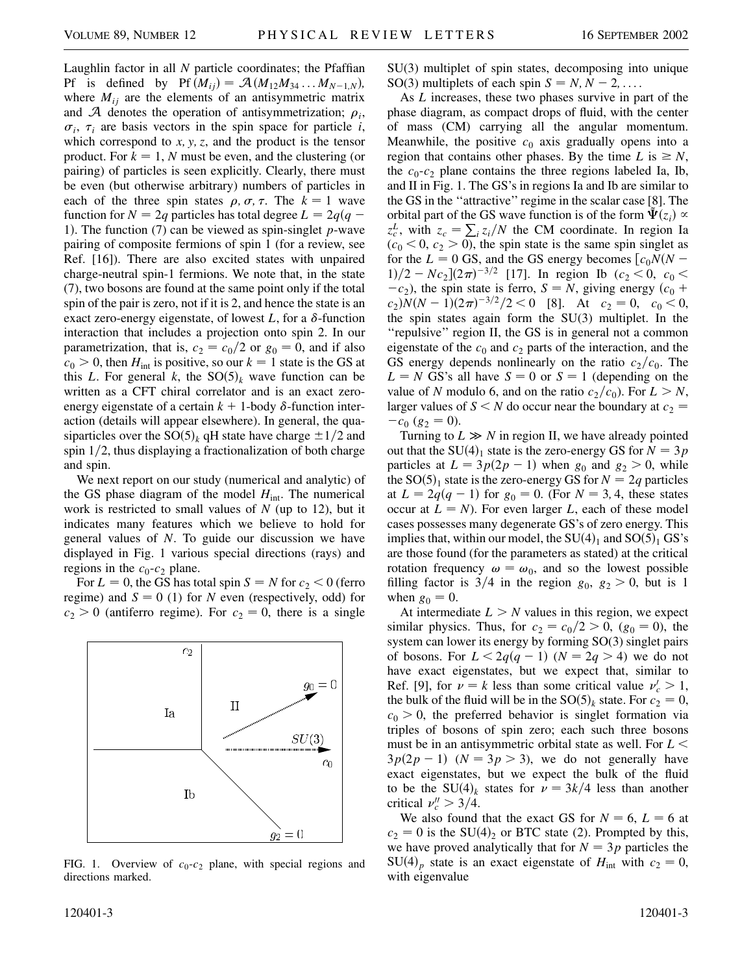Laughlin factor in all *N* particle coordinates; the Pfaffian Pf is defined by Pf  $(M_{ij}) = A(M_{12}M_{34} \dots M_{N-1,N})$ , where  $M_{ij}$  are the elements of an antisymmetric matrix and  $A$  denotes the operation of antisymmetrization;  $\rho_i$ ,  $\sigma_i$ ,  $\tau_i$  are basis vectors in the spin space for particle *i*, which correspond to *x; y; z*, and the product is the tensor product. For  $k = 1$ , *N* must be even, and the clustering (or pairing) of particles is seen explicitly. Clearly, there must be even (but otherwise arbitrary) numbers of particles in each of the three spin states  $\rho$ ,  $\sigma$ ,  $\tau$ . The  $k = 1$  wave function for  $N = 2q$  particles has total degree  $L = 2q(q - q)$ 1). The function  $(7)$  can be viewed as spin-singlet *p*-wave pairing of composite fermions of spin 1 (for a review, see Ref. [16]). There are also excited states with unpaired charge-neutral spin-1 fermions. We note that, in the state (7), two bosons are found at the same point only if the total spin of the pair is zero, not if it is 2, and hence the state is an exact zero-energy eigenstate, of lowest  $L$ , for a  $\delta$ -function interaction that includes a projection onto spin 2. In our parametrization, that is,  $c_2 = c_0/2$  or  $g_0 = 0$ , and if also  $c_0$  > 0, then  $H_{int}$  is positive, so our  $k = 1$  state is the GS at this *L*. For general *k*, the  $SO(5)_k$  wave function can be written as a CFT chiral correlator and is an exact zeroenergy eigenstate of a certain  $k + 1$ -body  $\delta$ -function interaction (details will appear elsewhere). In general, the quasiparticles over the  $SO(5)_k$  qH state have charge  $\pm 1/2$  and spin 1/2, thus displaying a fractionalization of both charge and spin.

We next report on our study (numerical and analytic) of the GS phase diagram of the model  $H_{int}$ . The numerical work is restricted to small values of *N* (up to 12), but it indicates many features which we believe to hold for general values of *N*. To guide our discussion we have displayed in Fig. 1 various special directions (rays) and regions in the  $c_0$ - $c_2$  plane.

For  $L = 0$ , the GS has total spin  $S = N$  for  $c_2 < 0$  (ferro regime) and  $S = 0$  (1) for *N* even (respectively, odd) for  $c_2 > 0$  (antiferro regime). For  $c_2 = 0$ , there is a single



FIG. 1. Overview of  $c_0$ - $c_2$  plane, with special regions and directions marked.

SU(3) multiplet of spin states, decomposing into unique SO(3) multiplets of each spin  $S = N, N - 2, \ldots$ .

As *L* increases, these two phases survive in part of the phase diagram, as compact drops of fluid, with the center of mass (CM) carrying all the angular momentum. Meanwhile, the positive  $c_0$  axis gradually opens into a region that contains other phases. By the time  $L$  is  $\geq N$ , the  $c_0$ - $c_2$  plane contains the three regions labeled Ia, Ib, and II in Fig. 1. The GS's in regions Ia and Ib are similar to the GS in the ''attractive'' regime in the scalar case [8]. The orbital part of the GS wave function is of the form  $\tilde{\Psi}(z_i) \propto$ *z*<sup>*t</sup></sup></sup>, with*  $z_c = \sum_i z_i / N$  *the CM coordinate. In region Ia</sup>*  $(c_0 < 0, c_2 > 0)$ , the spin state is the same spin singlet as for the  $L = 0$  GS, and the GS energy becomes  $[c_0N(N 1)/2 - Nc_2(2\pi)^{-3/2}$  [17]. In region Ib ( $c_2 < 0$ ,  $c_0 <$  $-c_2$ ), the spin state is ferro, *S* = *N*, giving energy  $(c_0 + c_1)$  $c_2$ ) $N(N-1)(2\pi)^{-3/2}/2 < 0$  [8]. At  $c_2 = 0$ ,  $c_0 < 0$ , the spin states again form the SU(3) multiplet. In the ''repulsive'' region II, the GS is in general not a common eigenstate of the  $c_0$  and  $c_2$  parts of the interaction, and the GS energy depends nonlinearly on the ratio  $c_2/c_0$ . The  $L = N$  GS's all have  $S = 0$  or  $S = 1$  (depending on the value of *N* modulo 6, and on the ratio  $c_2/c_0$ ). For  $L > N$ , larger values of  $S \leq N$  do occur near the boundary at  $c_2 =$  $-c_0$  ( $g_2 = 0$ ).

Turning to  $L \gg N$  in region II, we have already pointed out that the SU(4)<sub>1</sub> state is the zero-energy GS for  $N = 3p$ particles at  $L = 3p(2p - 1)$  when  $g_0$  and  $g_2 > 0$ , while the SO(5)<sub>1</sub> state is the zero-energy GS for  $N = 2q$  particles at  $L = 2q(q - 1)$  for  $g_0 = 0$ . (For  $N = 3, 4$ , these states occur at  $L = N$ ). For even larger *L*, each of these model cases possesses many degenerate GS's of zero energy. This implies that, within our model, the  $SU(4)_1$  and  $SO(5)_1$  GS's are those found (for the parameters as stated) at the critical rotation frequency  $\omega = \omega_0$ , and so the lowest possible filling factor is  $3/4$  in the region  $g_0$ ,  $g_2 > 0$ , but is 1 when  $g_0 = 0$ .

At intermediate  $L > N$  values in this region, we expect similar physics. Thus, for  $c_2 = c_0/2 > 0$ ,  $(g_0 = 0)$ , the system can lower its energy by forming SO(3) singlet pairs of bosons. For  $L < 2q(q - 1)$   $(N = 2q > 4)$  we do not have exact eigenstates, but we expect that, similar to Ref. [9], for  $\nu = k$  less than some critical value  $\nu_c' > 1$ , the bulk of the fluid will be in the  $SO(5)_k$  state. For  $c_2 = 0$ ,  $c_0$  > 0, the preferred behavior is singlet formation via triples of bosons of spin zero; each such three bosons must be in an antisymmetric orbital state as well. For *L <*  $3p(2p-1)$   $(N = 3p > 3)$ , we do not generally have exact eigenstates, but we expect the bulk of the fluid to be the SU(4)<sub>k</sub> states for  $\nu = 3k/4$  less than another critical  $\nu''_c > 3/4$ .

We also found that the exact GS for  $N = 6$ ,  $L = 6$  at  $c_2 = 0$  is the SU(4)<sub>2</sub> or BTC state (2). Prompted by this, we have proved analytically that for  $N = 3p$  particles the  $SU(4)_p$  state is an exact eigenstate of  $H_{int}$  with  $c_2 = 0$ , with eigenvalue